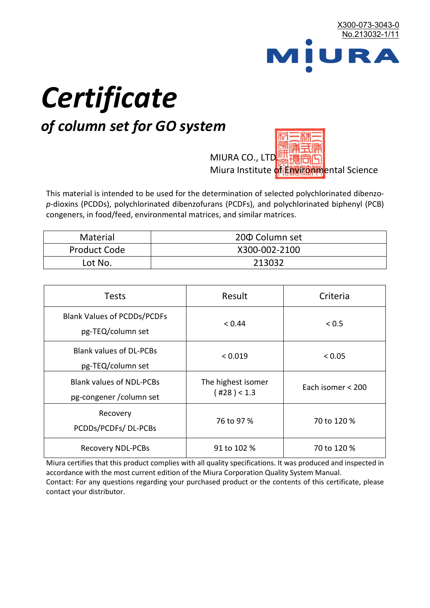

# *Certificate*

# *of column set for GO system*

MIURA CO., LTD. Miura Institute of 正版而解ental Science

This material is intended to be used for the determination of selected polychlorinated dibenzo*p*-dioxins (PCDDs), polychlorinated dibenzofurans (PCDFs), and polychlorinated biphenyl (PCB) congeners, in food/feed, environmental matrices, and similar matrices.

| <b>Material</b>     | 200 Column set |  |
|---------------------|----------------|--|
| <b>Product Code</b> | X300-002-2100  |  |
| Lot No.             | 213032         |  |

| <b>Tests</b>                                                | Result                            | Criteria          |  |
|-------------------------------------------------------------|-----------------------------------|-------------------|--|
| <b>Blank Values of PCDDs/PCDFs</b><br>pg-TEQ/column set     | < 0.44                            | < 0.5             |  |
| <b>Blank values of DL-PCBs</b><br>pg-TEQ/column set         | < 0.019                           | < 0.05            |  |
| <b>Blank values of NDL-PCBs</b><br>pg-congener / column set | The highest isomer<br>(428) < 1.3 | Each isomer < 200 |  |
| Recovery<br>PCDDs/PCDFs/DL-PCBs                             | 76 to 97 %                        | 70 to 120 %       |  |
| <b>Recovery NDL-PCBs</b>                                    | 91 to 102 %                       | 70 to 120 %       |  |

Miura certifies that this product complies with all quality specifications. It was produced and inspected in accordance with the most current edition of the Miura Corporation Quality System Manual. Contact: For any questions regarding your purchased product or the contents of this certificate, please contact your distributor.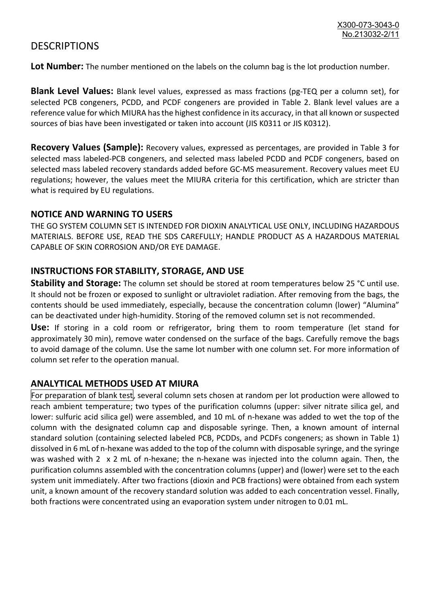## **DESCRIPTIONS**

**Lot Number:** The number mentioned on the labels on the column bag is the lot production number.

**Blank Level Values:** Blank level values, expressed as mass fractions (pg-TEQ per a column set), for selected PCB congeners, PCDD, and PCDF congeners are provided in Table 2. Blank level values are a reference value for which MIURA has the highest confidence in its accuracy, in that all known or suspected sources of bias have been investigated or taken into account (JIS K0311 or JIS K0312).

**Recovery Values (Sample):** Recovery values, expressed as percentages, are provided in Table 3 for selected mass labeled-PCB congeners, and selected mass labeled PCDD and PCDF congeners, based on selected mass labeled recovery standards added before GC-MS measurement. Recovery values meet EU regulations; however, the values meet the MIURA criteria for this certification, which are stricter than what is required by EU regulations.

#### **NOTICE AND WARNING TO USERS**

THE GO SYSTEM COLUMN SET IS INTENDED FOR DIOXIN ANALYTICAL USE ONLY, INCLUDING HAZARDOUS MATERIALS. BEFORE USE, READ THE SDS CAREFULLY; HANDLE PRODUCT AS A HAZARDOUS MATERIAL CAPABLE OF SKIN CORROSION AND/OR EYE DAMAGE.

#### **INSTRUCTIONS FOR STABILITY, STORAGE, AND USE**

**Stability and Storage:** The column set should be stored at room temperatures below 25 °C until use. It should not be frozen or exposed to sunlight or ultraviolet radiation. After removing from the bags, the contents should be used immediately, especially, because the concentration column (lower) "Alumina" can be deactivated under high-humidity. Storing of the removed column set is not recommended.

**Use:** If storing in a cold room or refrigerator, bring them to room temperature (let stand for approximately 30 min), remove water condensed on the surface of the bags. Carefully remove the bags to avoid damage of the column. Use the same lot number with one column set. For more information of column set refer to the operation manual.

### **ANALYTICAL METHODS USED AT MIURA**

For preparation of blank test, several column sets chosen at random per lot production were allowed to reach ambient temperature; two types of the purification columns (upper: silver nitrate silica gel, and lower: sulfuric acid silica gel) were assembled, and 10 mL of n-hexane was added to wet the top of the column with the designated column cap and disposable syringe. Then, a known amount of internal standard solution (containing selected labeled PCB, PCDDs, and PCDFs congeners; as shown in Table 1) dissolved in 6 mL of n-hexane was added to the top of the column with disposable syringe, and the syringe was washed with 2 x 2 mL of n-hexane; the n-hexane was injected into the column again. Then, the purification columns assembled with the concentration columns (upper) and (lower) were set to the each system unit immediately. After two fractions (dioxin and PCB fractions) were obtained from each system unit, a known amount of the recovery standard solution was added to each concentration vessel. Finally, both fractions were concentrated using an evaporation system under nitrogen to 0.01 mL.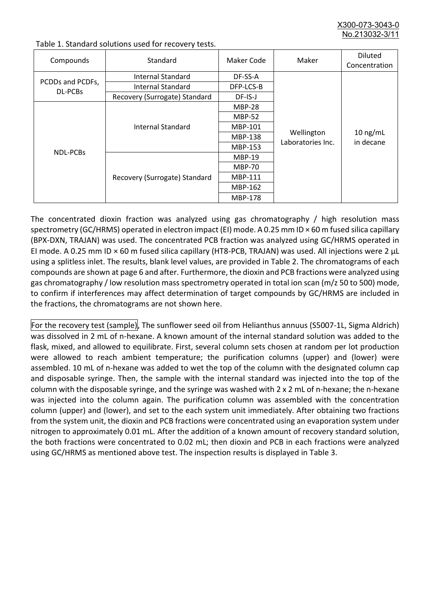X300-073-3043-0 No.213032-3/

| Compounds                   | Standard                      | Maker Code     | Maker                           | <b>Diluted</b><br>Concentration |
|-----------------------------|-------------------------------|----------------|---------------------------------|---------------------------------|
| PCDDs and PCDFs,<br>DL-PCBs | Internal Standard             | DF-SS-A        |                                 | $10$ ng/mL<br>in decane         |
|                             | <b>Internal Standard</b>      | DFP-LCS-B      |                                 |                                 |
|                             | Recovery (Surrogate) Standard | DF-IS-J        | Wellington<br>Laboratories Inc. |                                 |
| <b>NDL-PCBs</b>             | Internal Standard             | <b>MBP-28</b>  |                                 |                                 |
|                             |                               | <b>MBP-52</b>  |                                 |                                 |
|                             |                               | MBP-101        |                                 |                                 |
|                             |                               | <b>MBP-138</b> |                                 |                                 |
|                             |                               | MBP-153        |                                 |                                 |
|                             | Recovery (Surrogate) Standard | <b>MBP-19</b>  |                                 |                                 |
|                             |                               | <b>MBP-70</b>  |                                 |                                 |
|                             |                               | MBP-111        |                                 |                                 |
|                             |                               | MBP-162        |                                 |                                 |
|                             |                               | <b>MBP-178</b> |                                 |                                 |

Table 1. Standard solutions used for recovery tests.

The concentrated dioxin fraction was analyzed using gas chromatography / high resolution mass spectrometry (GC/HRMS) operated in electron impact (EI) mode. A 0.25 mm ID × 60 m fused silica capillary (BPX-DXN, TRAJAN) was used. The concentrated PCB fraction was analyzed using GC/HRMS operated in EI mode. A 0.25 mm ID × 60 m fused silica capillary (HT8-PCB, TRAJAN) was used. All injections were 2 μL using a splitless inlet. The results, blank level values, are provided in Table 2. The chromatograms of each compounds are shown at page 6 and after. Furthermore, the dioxin and PCB fractions were analyzed using gas chromatography / low resolution mass spectrometry operated in total ion scan (m/z 50 to 500) mode, to confirm if interferences may affect determination of target compounds by GC/HRMS are included in the fractions, the chromatograms are not shown here.

For the recovery test (sample), The sunflower seed oil from Helianthus annuus (S5007-1L, Sigma Aldrich) was dissolved in 2 mL of n-hexane. A known amount of the internal standard solution was added to the flask, mixed, and allowed to equilibrate. First, several column sets chosen at random per lot production were allowed to reach ambient temperature; the purification columns (upper) and (lower) were assembled. 10 mL of n-hexane was added to wet the top of the column with the designated column cap and disposable syringe. Then, the sample with the internal standard was injected into the top of the column with the disposable syringe, and the syringe was washed with 2 x 2 mL of n-hexane; the n-hexane was injected into the column again. The purification column was assembled with the concentration column (upper) and (lower), and set to the each system unit immediately. After obtaining two fractions from the system unit, the dioxin and PCB fractions were concentrated using an evaporation system under nitrogen to approximately 0.01 mL. After the addition of a known amount of recovery standard solution, the both fractions were concentrated to 0.02 mL; then dioxin and PCB in each fractions were analyzed using GC/HRMS as mentioned above test. The inspection results is displayed in Table 3.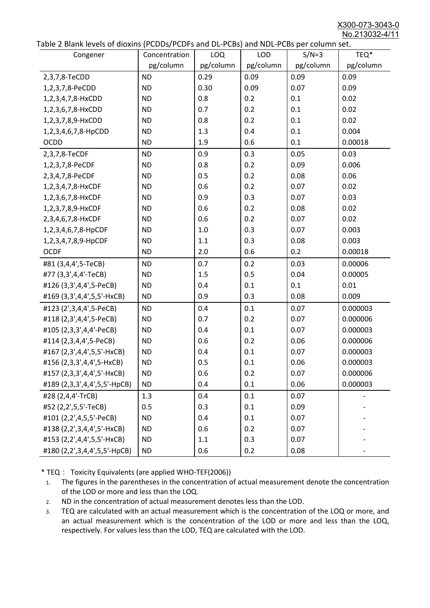X300-073-3043-0 No.213032-4/11

| able 2 Diarik levels of dioxins (FCDD3/FCDF3 and DL-FCD3) and NDL-FCD3 per column set.<br>Congener | Concentration | <b>LOQ</b> | <b>LOD</b> | $S/N=3$   | TEQ*      |
|----------------------------------------------------------------------------------------------------|---------------|------------|------------|-----------|-----------|
|                                                                                                    | pg/column     | pg/column  | pg/column  | pg/column | pg/column |
| 2,3,7,8-TeCDD                                                                                      | <b>ND</b>     | 0.29       | 0.09       | 0.09      | 0.09      |
| 1,2,3,7,8-PeCDD                                                                                    | <b>ND</b>     | 0.30       | 0.09       | 0.07      | 0.09      |
| 1,2,3,4,7,8-HxCDD                                                                                  | <b>ND</b>     | 0.8        | 0.2        | 0.1       | 0.02      |
| 1,2,3,6,7,8-HxCDD                                                                                  | <b>ND</b>     | 0.7        | 0.2        | 0.1       | 0.02      |
| 1,2,3,7,8,9-HxCDD                                                                                  | <b>ND</b>     | 0.8        | 0.2        | 0.1       | 0.02      |
| 1,2,3,4,6,7,8-HpCDD                                                                                | <b>ND</b>     | 1.3        | 0.4        | 0.1       | 0.004     |
| <b>OCDD</b>                                                                                        | <b>ND</b>     | 1.9        | 0.6        | 0.1       | 0.00018   |
| 2,3,7,8-TeCDF                                                                                      | <b>ND</b>     | 0.9        | 0.3        | 0.05      | 0.03      |
| 1,2,3,7,8-PeCDF                                                                                    | <b>ND</b>     | 0.8        | 0.2        | 0.09      | 0.006     |
| 2,3,4,7,8-PeCDF                                                                                    | <b>ND</b>     | 0.5        | 0.2        | 0.08      | 0.06      |
| 1,2,3,4,7,8-HxCDF                                                                                  | <b>ND</b>     | 0.6        | 0.2        | 0.07      | 0.02      |
| 1,2,3,6,7,8-HxCDF                                                                                  | <b>ND</b>     | 0.9        | 0.3        | 0.07      | 0.03      |
| 1,2,3,7,8,9-HxCDF                                                                                  | <b>ND</b>     | 0.6        | 0.2        | 0.08      | 0.02      |
| 2,3,4,6,7,8-HxCDF                                                                                  | <b>ND</b>     | 0.6        | 0.2        | 0.07      | 0.02      |
| 1,2,3,4,6,7,8-HpCDF                                                                                | <b>ND</b>     | 1.0        | 0.3        | 0.07      | 0.003     |
| 1,2,3,4,7,8,9-HpCDF                                                                                | <b>ND</b>     | 1.1        | 0.3        | 0.08      | 0.003     |
| <b>OCDF</b>                                                                                        | <b>ND</b>     | 2.0        | 0.6        | 0.2       | 0.00018   |
| #81 (3,4,4',5-TeCB)                                                                                | <b>ND</b>     | 0.7        | 0.2        | 0.03      | 0.00006   |
| #77 (3,3',4,4'-TeCB)                                                                               | <b>ND</b>     | 1.5        | 0.5        | 0.04      | 0.00005   |
| #126 (3,3',4,4',5-PeCB)                                                                            | <b>ND</b>     | 0.4        | 0.1        | 0.1       | 0.01      |
| #169 (3,3',4,4',5,5'-HxCB)                                                                         | <b>ND</b>     | 0.9        | 0.3        | 0.08      | 0.009     |
| #123 (2',3,4,4',5-PeCB)                                                                            | <b>ND</b>     | 0.4        | 0.1        | 0.07      | 0.000003  |
| #118 (2,3',4,4',5-PeCB)                                                                            | <b>ND</b>     | 0.7        | 0.2        | 0.07      | 0.000006  |
| #105 (2,3,3',4,4'-PeCB)                                                                            | <b>ND</b>     | 0.4        | 0.1        | 0.07      | 0.000003  |
| #114 (2,3,4,4',5-PeCB)                                                                             | <b>ND</b>     | 0.6        | 0.2        | 0.06      | 0.000006  |
| #167 (2,3',4,4',5,5'-HxCB)                                                                         | <b>ND</b>     | 0.4        | 0.1        | 0.07      | 0.000003  |
| #156 (2,3,3',4,4',5-HxCB)                                                                          | <b>ND</b>     | 0.5        | 0.1        | 0.06      | 0.000003  |
| #157 (2,3,3',4,4',5'-HxCB)                                                                         | <b>ND</b>     | 0.6        | 0.2        | 0.07      | 0.000006  |
| #189 (2,3,3',4,4',5,5'-HpCB)                                                                       | <b>ND</b>     | 0.4        | 0.1        | 0.06      | 0.000003  |
| #28 (2,4,4'-TrCB)                                                                                  | 1.3           | 0.4        | 0.1        | 0.07      |           |
| #52 (2,2',5,5'-TeCB)                                                                               | 0.5           | 0.3        | 0.1        | 0.09      |           |
| #101 (2,2',4,5,5'-PeCB)                                                                            | <b>ND</b>     | 0.4        | 0.1        | 0.07      |           |
| #138 (2,2',3,4,4',5'-HxCB)                                                                         | <b>ND</b>     | 0.6        | 0.2        | 0.07      |           |
| #153 (2,2',4,4',5,5'-HxCB)                                                                         | <b>ND</b>     | 1.1        | 0.3        | 0.07      |           |
| #180 (2,2',3,4,4',5,5'-HpCB)                                                                       | <b>ND</b>     | 0.6        | 0.2        | 0.08      |           |

\* TEQ: Toxicity Equivalents (are applied WHO-TEF(2006))

- 1. The figures in the parentheses in the concentration of actual measurement denote the concentration of the LOD or more and less than the LOQ.
- 2. ND in the concentration of actual measurement denotes less than the LOD.
- 3. TEQ are calculated with an actual measurement which is the concentration of the LOQ or more, and an actual measurement which is the concentration of the LOD or more and less than the LOQ, respectively. For values less than the LOD, TEQ are calculated with the LOD.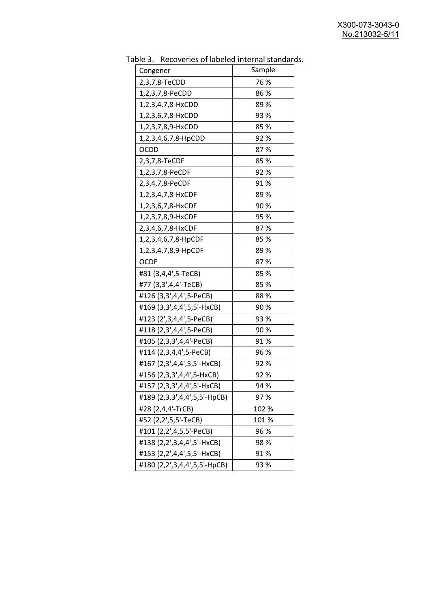| uwic J.<br><u>RECOVERTS OF RESERVED INTERNATION STATIONS</u><br>Congener | Sample |  |  |
|--------------------------------------------------------------------------|--------|--|--|
| 2,3,7,8-TeCDD                                                            | 76 %   |  |  |
| 1,2,3,7,8-PeCDD                                                          | 86%    |  |  |
| 1,2,3,4,7,8-HxCDD                                                        | 89%    |  |  |
| 1,2,3,6,7,8-HxCDD                                                        | 93 %   |  |  |
| 1,2,3,7,8,9-HxCDD                                                        | 85 %   |  |  |
| 1,2,3,4,6,7,8-HpCDD                                                      | 92%    |  |  |
| <b>OCDD</b>                                                              | 87%    |  |  |
| 2,3,7,8-TeCDF                                                            | 85%    |  |  |
| 1,2,3,7,8-PeCDF                                                          | 92%    |  |  |
| 2,3,4,7,8-PeCDF                                                          | 91%    |  |  |
| 1,2,3,4,7,8-HxCDF                                                        | 89%    |  |  |
| 1,2,3,6,7,8-HxCDF                                                        | 90%    |  |  |
| 1,2,3,7,8,9-HxCDF                                                        | 95 %   |  |  |
| 2,3,4,6,7,8-HxCDF                                                        | 87%    |  |  |
| 1,2,3,4,6,7,8-HpCDF                                                      | 85%    |  |  |
| 1,2,3,4,7,8,9-HpCDF                                                      | 89%    |  |  |
| <b>OCDF</b>                                                              | 87%    |  |  |
| #81 (3,4,4',5-TeCB)                                                      | 85%    |  |  |
| #77 (3,3',4,4'-TeCB)                                                     | 85%    |  |  |
| #126 (3,3',4,4',5-PeCB)                                                  | 88%    |  |  |
| #169 (3,3',4,4',5,5'-HxCB)                                               | 90%    |  |  |
| #123 (2',3,4,4',5-PeCB)                                                  | 93 %   |  |  |
| #118 (2,3',4,4',5-PeCB)                                                  | 90%    |  |  |
| #105 (2,3,3',4,4'-PeCB)                                                  | 91%    |  |  |
| #114 (2,3,4,4',5-PeCB)                                                   | 96 %   |  |  |
| #167 (2,3',4,4',5,5'-HxCB)                                               | 92%    |  |  |
| #156 (2,3,3',4,4',5-HxCB)                                                | 92 %   |  |  |
| #157 (2,3,3',4,4',5'-HxCB)                                               | 94 %   |  |  |
| #189 (2,3,3',4,4',5,5'-HpCB)                                             | 97%    |  |  |
| #28 (2,4,4'-TrCB)                                                        | 102 %  |  |  |
| #52 (2,2',5,5'-TeCB)                                                     | 101%   |  |  |
| #101 (2,2',4,5,5'-PeCB)                                                  | 96 %   |  |  |
| #138 (2,2',3,4,4',5'-HxCB)                                               | 98%    |  |  |
| #153 (2,2',4,4',5,5'-HxCB)                                               | 91%    |  |  |
| #180 (2,2',3,4,4',5,5'-HpCB)                                             | 93 %   |  |  |

Table 3. Recoveries of labeled internal standards.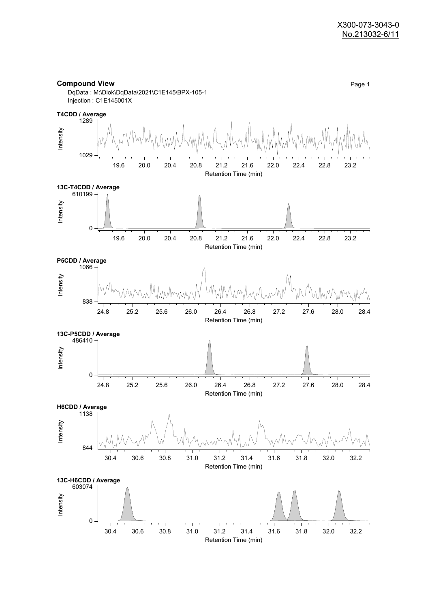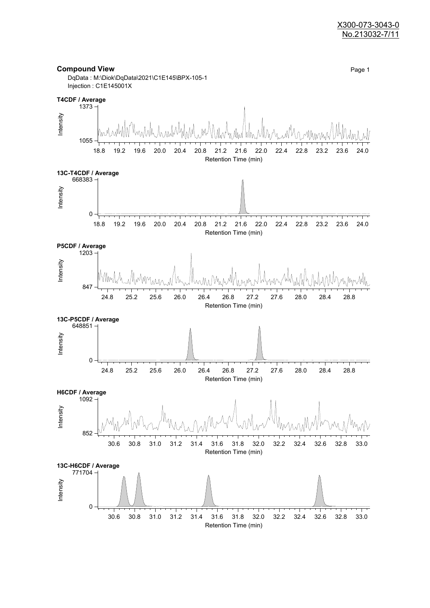#### X300-073-3043-0 No.213032-7/11

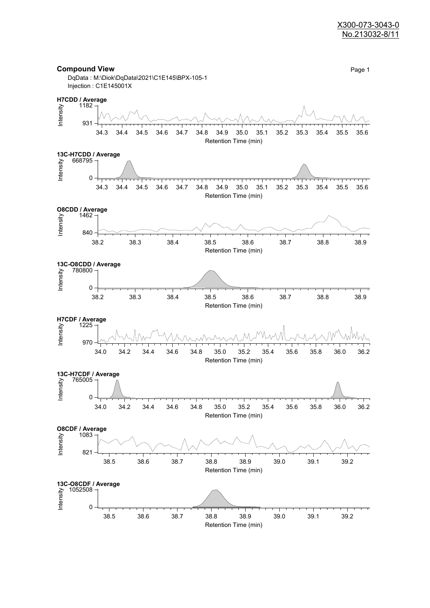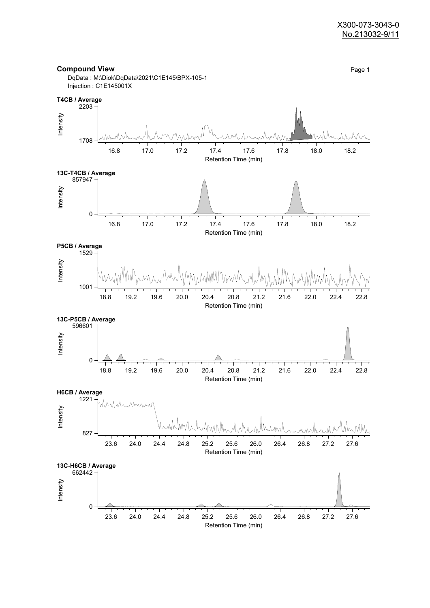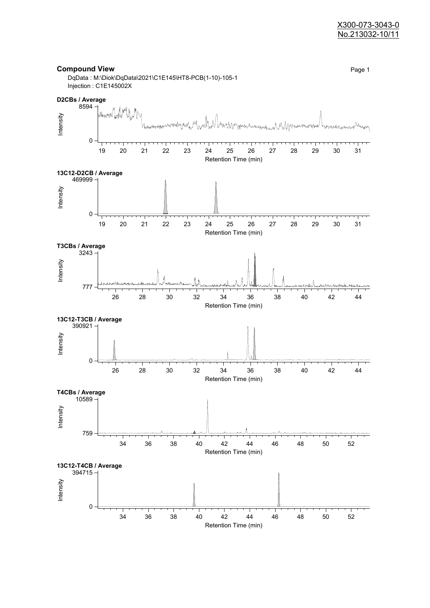#### X300-073-3043-0 No.213032-10/11